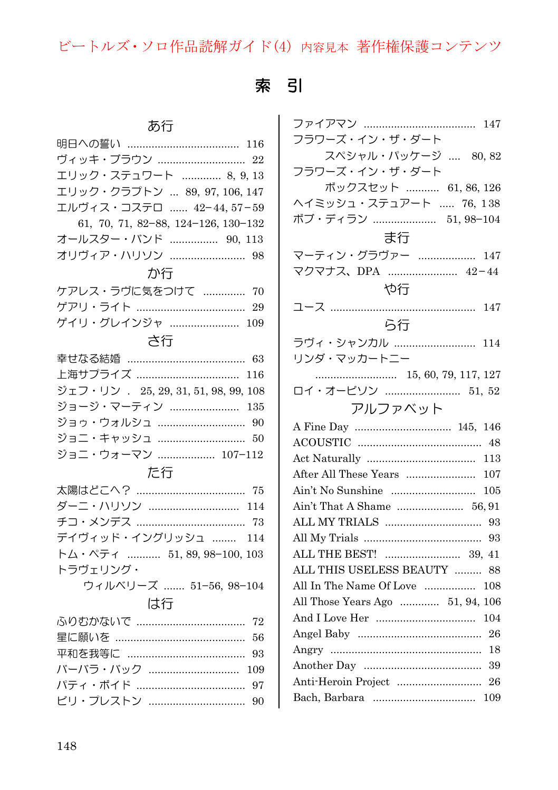# 索 引

| ヴィッキ・ブラウン  22                        |
|--------------------------------------|
| エリック・ステュワート  8, 9, 13                |
| エリック・クラプトン  89, 97, 106, 147         |
| エルヴィス・コステロ  42-44, 57-59             |
| 61, 70, 71, 82-88, 124-126, 130-132  |
| オールスター・バンド  90, 113                  |
| オリヴィア・ハリソン  98                       |
| か行                                   |
| ケアレス・ラヴに気をつけて  70                    |
|                                      |
| ゲイリ・グレインジャ  109                      |
| さ行                                   |
|                                      |
| 上海サプライズ<br>116                       |
| ジェフ・リン . 25, 29, 31, 51, 98, 99, 108 |
| ジョージ・マーティン  135                      |
| ジョゥ・ウォルシュ  90                        |
| ジョニ・キャッシュ  50                        |
| ジョニ・ウォーマン  107-112                   |
| た行                                   |
| 太陽はどこへ? ……………………………… 75              |
| ダーニ・ハリソン  114                        |
|                                      |
| デイヴィッド・イングリッシュ<br>114                |
| トム・ペティ  51, 89, 98-100, 103          |
| トラヴェリング・                             |
| ウィルベリーズ  51-56, 98-104               |
| は行                                   |
| 72                                   |
| 56                                   |
| 93                                   |
| バーバラ・バック<br>109                      |
| 97                                   |
| ビリ・プレストン<br>90                       |
|                                      |

| フラワーズ・イン・ザ・ダート                   |
|----------------------------------|
| スペシャル・パッケージ  80,82               |
| フラワーズ・イン・ザ・ダート                   |
| ボックスセット  61, 86, 126             |
| ヘイミッシュ・ステュアート  76, 138           |
| ボブ・ディラン  51,98-104               |
| ま行                               |
| マーティン・グラヴァー  147                 |
| マクマナス、DPA  42-44                 |
| や行                               |
| ユース                              |
| ら行                               |
|                                  |
| ラヴィ・シャンカル  114                   |
| リンダ・マッカートニー                      |
|                                  |
| ロイ・オービソン  51, 52                 |
| アルファベット                          |
| 146                              |
| -48                              |
| 113                              |
| After All These Years<br>107     |
| 105                              |
|                                  |
| -93                              |
| 93                               |
|                                  |
| ALL THIS USELESS BEAUTY<br>-88   |
| All In The Name Of Love<br>108   |
| All Those Years Ago  51, 94, 106 |
| 104                              |
| 26                               |
| -18                              |
| - 39                             |
|                                  |
|                                  |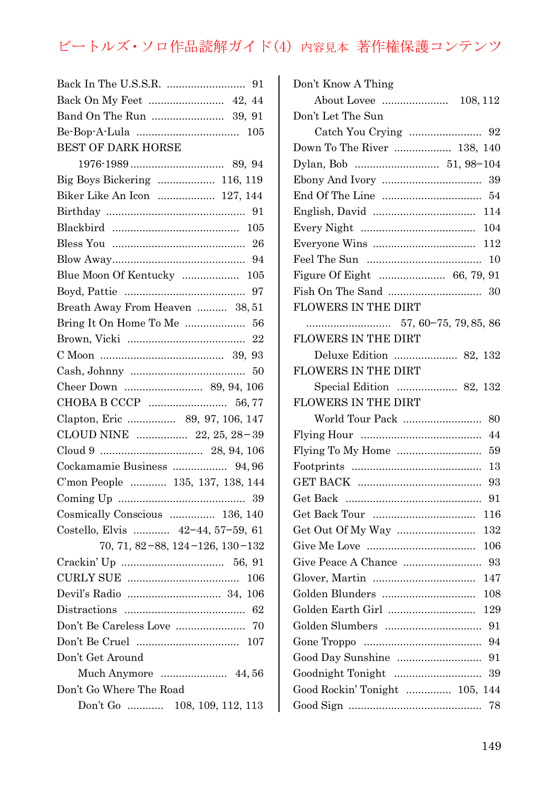| BEST OF DARK HORSE                 |
|------------------------------------|
|                                    |
| Big Boys Bickering  116, 119       |
| Biker Like An Icon  127, 144       |
|                                    |
|                                    |
|                                    |
|                                    |
| Blue Moon Of Kentucky  105         |
|                                    |
| Breath Away From Heaven  38,51     |
| Bring It On Home To Me  56         |
|                                    |
|                                    |
|                                    |
| Cheer Down  89, 94, 106            |
|                                    |
| Clapton, Eric  89, 97, 106, 147    |
| CLOUD NINE  22, 25, 28-39          |
|                                    |
| Cockamamie Business  94,96         |
| C'mon People  135, 137, 138, 144   |
|                                    |
| Cosmically Conscious  136, 140     |
| Costello, Elvis $42-44, 57-59, 61$ |
| 70, 71, 82-88, 124-126, 130-132    |
|                                    |
|                                    |
|                                    |
|                                    |
|                                    |
|                                    |
| Don't Get Around                   |
| Much Anymore  44,56                |
| Don't Go Where The Road            |
| Don't Go  108, 109, 112, 113       |

| Don't Know A Thing             |
|--------------------------------|
| About Lovee<br>108, 112        |
| Don't Let The Sun              |
| 92                             |
| Down To The River  138, 140    |
|                                |
| 39                             |
| 54                             |
| 114                            |
| 104                            |
| 112                            |
|                                |
| Figure Of Eight  66, 79, 91    |
| 30                             |
| <b>FLOWERS IN THE DIRT</b>     |
|                                |
| <b>FLOWERS IN THE DIRT</b>     |
| Deluxe Edition  82, 132        |
| <b>FLOWERS IN THE DIRT</b>     |
| Special Edition  82, 132       |
| FLOWERS IN THE DIRT            |
| World Tour Pack<br>80          |
| 44                             |
| Flying To My Home<br>59        |
| 13                             |
| 93                             |
| 91                             |
| 116                            |
| 132                            |
| 106                            |
| Give Peace A Chance<br>93      |
| 147                            |
| Golden Blunders<br>108         |
| Golden Earth Girl<br>129       |
| Golden Slumbers<br>91          |
| 94                             |
| Good Day Sunshine<br>91        |
| Goodnight Tonight<br>39        |
| Good Rockin' Tonight  105, 144 |
| 78                             |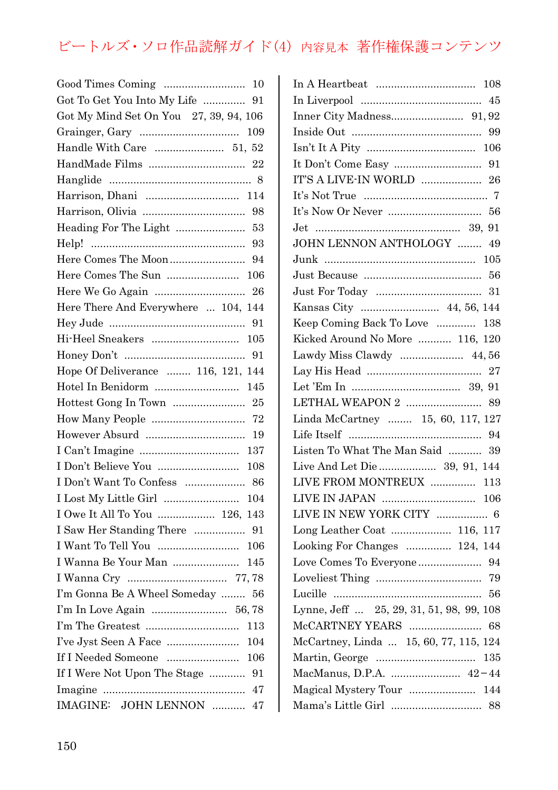| Got To Get You Into My Life  91                                                                                                                   |
|---------------------------------------------------------------------------------------------------------------------------------------------------|
| Got My Mind Set On You 27, 39, 94, 106                                                                                                            |
|                                                                                                                                                   |
| Handle With Care  51, 52                                                                                                                          |
|                                                                                                                                                   |
|                                                                                                                                                   |
| Harrison, Dhani  114                                                                                                                              |
|                                                                                                                                                   |
| Heading For The Light  53                                                                                                                         |
|                                                                                                                                                   |
|                                                                                                                                                   |
|                                                                                                                                                   |
| 26                                                                                                                                                |
| Here There And Everywhere  104, 144                                                                                                               |
|                                                                                                                                                   |
| 105                                                                                                                                               |
|                                                                                                                                                   |
| Hope Of Deliverance  116, 121, 144                                                                                                                |
| 145                                                                                                                                               |
|                                                                                                                                                   |
| How Many People  72                                                                                                                               |
| 19                                                                                                                                                |
| 137                                                                                                                                               |
| I Don't Believe You<br>108                                                                                                                        |
|                                                                                                                                                   |
| 104                                                                                                                                               |
| I Owe It All To You  126, 143                                                                                                                     |
|                                                                                                                                                   |
| I Want To Tell You  106                                                                                                                           |
| I Wanna Be Your Man<br>145                                                                                                                        |
| 77,78                                                                                                                                             |
| I'm Gonna Be A Wheel Someday  56                                                                                                                  |
|                                                                                                                                                   |
| $\Gamma$ m The Greatest $\ldots\ldots\ldots\ldots\ldots\ldots\ldots\ldots\ldots\ldots$<br>113                                                     |
| 104                                                                                                                                               |
| 106                                                                                                                                               |
| If I Were Not Upon The Stage  91                                                                                                                  |
|                                                                                                                                                   |
| $\label{eq:IMAGINE} \begin{minipage}{0.9\linewidth} \textbf{IMAGINE:} \quad \textbf{JOHN LENGTH} \quad \ldots \ldots \ldots \end{minipage}$<br>47 |

| IT'S A LIVE-IN WORLD  26                 |
|------------------------------------------|
|                                          |
|                                          |
|                                          |
| JOHN LENNON ANTHOLOGY  49                |
|                                          |
|                                          |
|                                          |
| Kansas City  44, 56, 144                 |
| Keep Coming Back To Love  138            |
| Kicked Around No More  116, 120          |
| Lawdy Miss Clawdy  44,56                 |
|                                          |
|                                          |
|                                          |
| Linda McCartney  15, 60, 117, 127        |
|                                          |
| Listen To What The Man Said  39          |
| Live And Let Die  39, 91, 144            |
| LIVE FROM MONTREUX  113                  |
|                                          |
|                                          |
| Long Leather Coat  116, 117              |
| Looking For Changes  124, 144            |
|                                          |
|                                          |
|                                          |
| Lynne, Jeff  25, 29, 31, 51, 98, 99, 108 |
|                                          |
| McCartney, Linda  15, 60, 77, 115, 124   |
|                                          |
| MacManus, D.P.A.  42-44                  |
| Magical Mystery Tour  144                |
|                                          |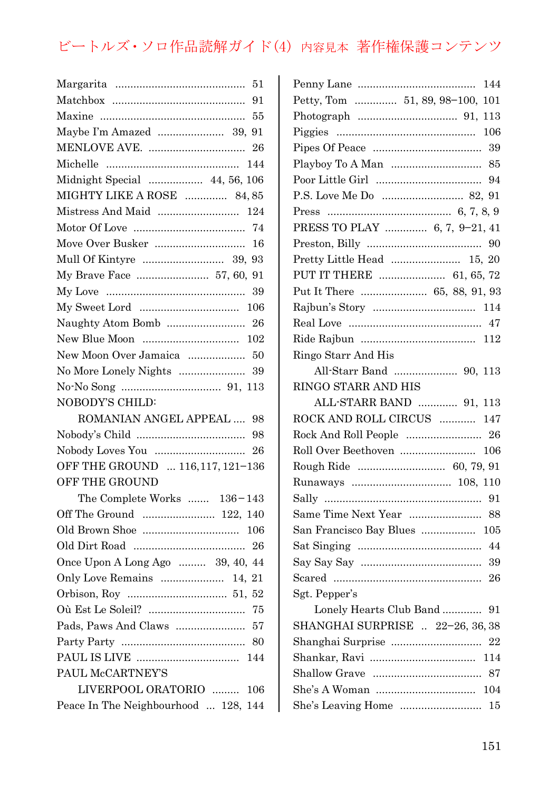| 51                                   |
|--------------------------------------|
| 91                                   |
|                                      |
| Maybe I'm Amazed  39, 91             |
|                                      |
|                                      |
| Midnight Special  44, 56, 106        |
| MIGHTY LIKE A ROSE  84,85            |
|                                      |
|                                      |
|                                      |
|                                      |
| My Brave Face  57, 60, 91            |
|                                      |
|                                      |
|                                      |
| 102                                  |
| New Moon Over Jamaica  50            |
|                                      |
|                                      |
| NOBODY'S CHILD:                      |
| ROMANIAN ANGEL APPEAL  98            |
| 98                                   |
|                                      |
| OFF THE GROUND  116, 117, 121-136    |
| <b>OFF THE GROUND</b>                |
| The Complete Works $136-143$         |
| Off The Ground  122, 140             |
|                                      |
|                                      |
| Once Upon A Long Ago  39, 40, 44     |
| Only Love Remains  14, 21            |
|                                      |
|                                      |
| Pads, Paws And Claws  57             |
|                                      |
|                                      |
| PAUL McCARTNEY'S                     |
| LIVERPOOL ORATORIO<br>106            |
| Peace In The Neighbourhood  128, 144 |
|                                      |

| 144                                |
|------------------------------------|
| Petty, Tom  51, 89, 98-100,<br>101 |
|                                    |
|                                    |
|                                    |
| Playboy To A Man  85               |
|                                    |
|                                    |
|                                    |
| PRESS TO PLAY  6, 7, 9-21, 41      |
|                                    |
|                                    |
| PUT IT THERE  61, 65, 72           |
| Put It There  65, 88, 91, 93       |
|                                    |
|                                    |
|                                    |
| Ringo Starr And His                |
|                                    |
| RINGO STARR AND HIS                |
| ALL-STARR BAND  91, 113            |
| ROCK AND ROLL CIRCUS  147          |
|                                    |
|                                    |
| Rough Ride  60, 79, 91             |
|                                    |
|                                    |
|                                    |
| San Francisco Bay Blues  105       |
|                                    |
|                                    |
|                                    |
| Sgt. Pepper's                      |
| Lonely Hearts Club Band  91        |
| SHANGHAI SURPRISE  22-26, 36, 38   |
|                                    |
|                                    |
|                                    |
|                                    |
|                                    |